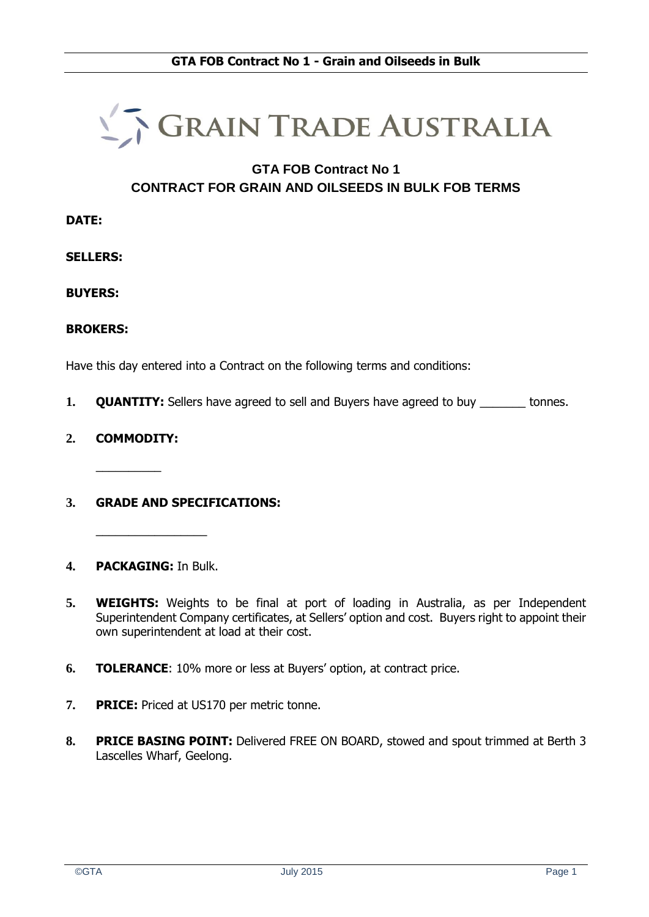

# **GTA FOB Contract No 1 CONTRACT FOR GRAIN AND OILSEEDS IN BULK FOB TERMS**

**DATE:**

**SELLERS:**

**BUYERS:**

**BROKERS:**

Have this day entered into a Contract on the following terms and conditions:

**1. QUANTITY:** Sellers have agreed to sell and Buyers have agreed to buy tonnes.

#### **2. COMMODITY:**

 $\overline{\phantom{a}}$  , where  $\overline{\phantom{a}}$ 

#### **3. GRADE AND SPECIFICATIONS:**

#### **4. PACKAGING:** In Bulk.

 $\frac{1}{2}$  ,  $\frac{1}{2}$  ,  $\frac{1}{2}$  ,  $\frac{1}{2}$  ,  $\frac{1}{2}$  ,  $\frac{1}{2}$  ,  $\frac{1}{2}$  ,  $\frac{1}{2}$  ,  $\frac{1}{2}$  ,  $\frac{1}{2}$  ,  $\frac{1}{2}$  ,  $\frac{1}{2}$  ,  $\frac{1}{2}$  ,  $\frac{1}{2}$  ,  $\frac{1}{2}$  ,  $\frac{1}{2}$  ,  $\frac{1}{2}$  ,  $\frac{1}{2}$  ,  $\frac{1$ 

- **5. WEIGHTS:** Weights to be final at port of loading in Australia, as per Independent Superintendent Company certificates, at Sellers' option and cost. Buyers right to appoint their own superintendent at load at their cost.
- **6. TOLERANCE**: 10% more or less at Buyers' option, at contract price.
- **7. PRICE:** Priced at US170 per metric tonne.
- **8. PRICE BASING POINT:** Delivered FREE ON BOARD, stowed and spout trimmed at Berth 3 Lascelles Wharf, Geelong.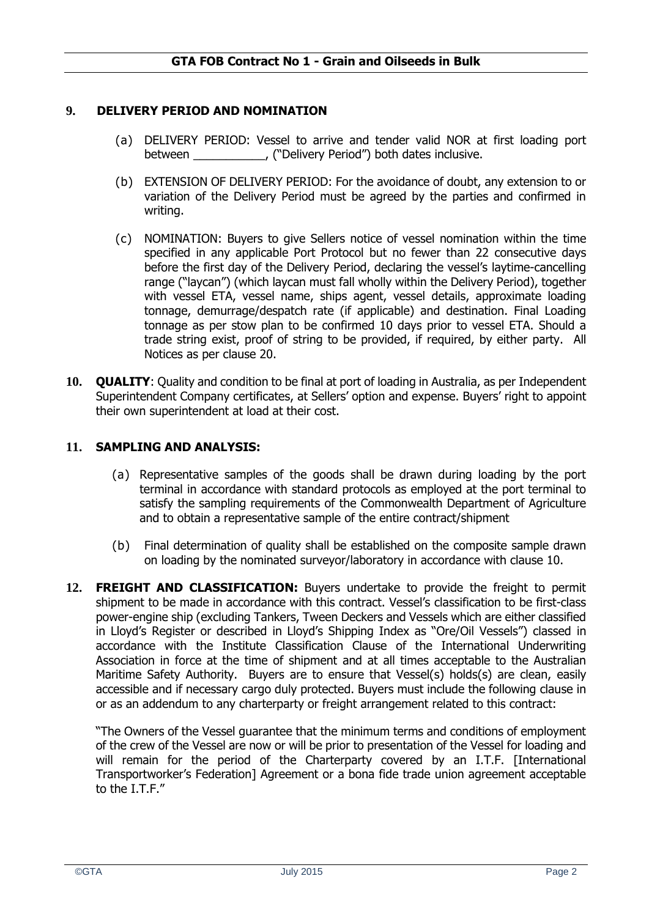## **9. DELIVERY PERIOD AND NOMINATION**

- (a) DELIVERY PERIOD: Vessel to arrive and tender valid NOR at first loading port between \_\_\_\_\_\_\_\_\_\_\_, ("Delivery Period") both dates inclusive.
- (b) EXTENSION OF DELIVERY PERIOD: For the avoidance of doubt, any extension to or variation of the Delivery Period must be agreed by the parties and confirmed in writing.
- (c) NOMINATION: Buyers to give Sellers notice of vessel nomination within the time specified in any applicable Port Protocol but no fewer than 22 consecutive days before the first day of the Delivery Period, declaring the vessel's laytime-cancelling range ("laycan") (which laycan must fall wholly within the Delivery Period), together with vessel ETA, vessel name, ships agent, vessel details, approximate loading tonnage, demurrage/despatch rate (if applicable) and destination. Final Loading tonnage as per stow plan to be confirmed 10 days prior to vessel ETA. Should a trade string exist, proof of string to be provided, if required, by either party. All Notices as per clause 20.
- **10. QUALITY**: Quality and condition to be final at port of loading in Australia, as per Independent Superintendent Company certificates, at Sellers' option and expense. Buyers' right to appoint their own superintendent at load at their cost.

#### **11. SAMPLING AND ANALYSIS:**

- (a) Representative samples of the goods shall be drawn during loading by the port terminal in accordance with standard protocols as employed at the port terminal to satisfy the sampling requirements of the Commonwealth Department of Agriculture and to obtain a representative sample of the entire contract/shipment
- (b) Final determination of quality shall be established on the composite sample drawn on loading by the nominated surveyor/laboratory in accordance with clause 10.
- **12. FREIGHT AND CLASSIFICATION:** Buyers undertake to provide the freight to permit shipment to be made in accordance with this contract. Vessel's classification to be first-class power-engine ship (excluding Tankers, Tween Deckers and Vessels which are either classified in Lloyd's Register or described in Lloyd's Shipping Index as "Ore/Oil Vessels") classed in accordance with the Institute Classification Clause of the International Underwriting Association in force at the time of shipment and at all times acceptable to the Australian Maritime Safety Authority. Buyers are to ensure that Vessel(s) holds(s) are clean, easily accessible and if necessary cargo duly protected. Buyers must include the following clause in or as an addendum to any charterparty or freight arrangement related to this contract:

"The Owners of the Vessel guarantee that the minimum terms and conditions of employment of the crew of the Vessel are now or will be prior to presentation of the Vessel for loading and will remain for the period of the Charterparty covered by an I.T.F. [International Transportworker's Federation] Agreement or a bona fide trade union agreement acceptable to the I.T.F."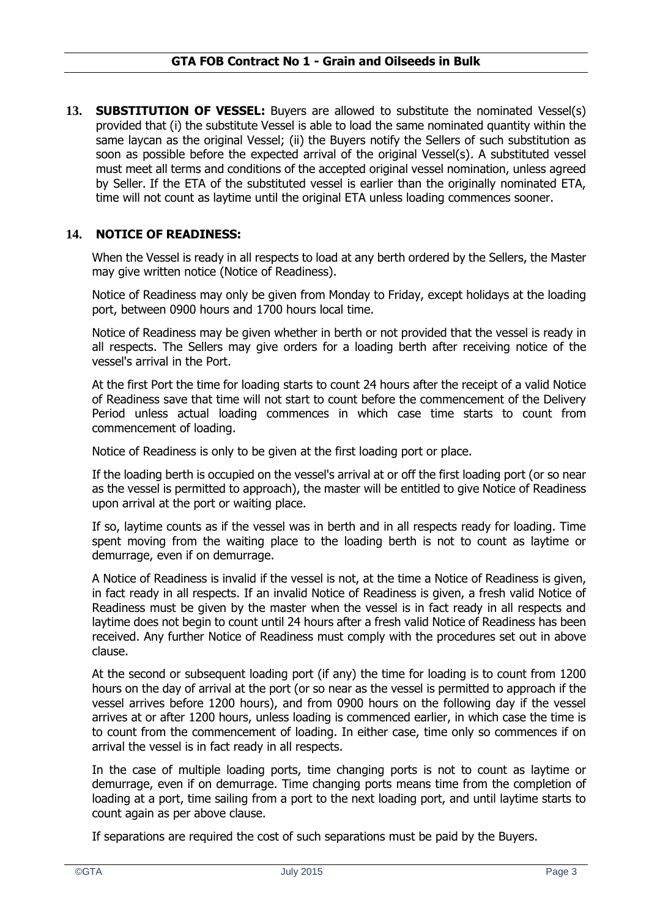**13. SUBSTITUTION OF VESSEL:** Buyers are allowed to substitute the nominated Vessel(s) provided that (i) the substitute Vessel is able to load the same nominated quantity within the same laycan as the original Vessel; (ii) the Buyers notify the Sellers of such substitution as soon as possible before the expected arrival of the original Vessel(s). A substituted vessel must meet all terms and conditions of the accepted original vessel nomination, unless agreed by Seller. If the ETA of the substituted vessel is earlier than the originally nominated ETA, time will not count as laytime until the original ETA unless loading commences sooner.

## **14. NOTICE OF READINESS:**

When the Vessel is ready in all respects to load at any berth ordered by the Sellers, the Master may give written notice (Notice of Readiness).

Notice of Readiness may only be given from Monday to Friday, except holidays at the loading port, between 0900 hours and 1700 hours local time.

Notice of Readiness may be given whether in berth or not provided that the vessel is ready in all respects. The Sellers may give orders for a loading berth after receiving notice of the vessel's arrival in the Port.

At the first Port the time for loading starts to count 24 hours after the receipt of a valid Notice of Readiness save that time will not start to count before the commencement of the Delivery Period unless actual loading commences in which case time starts to count from commencement of loading.

Notice of Readiness is only to be given at the first loading port or place.

If the loading berth is occupied on the vessel's arrival at or off the first loading port (or so near as the vessel is permitted to approach), the master will be entitled to give Notice of Readiness upon arrival at the port or waiting place.

If so, laytime counts as if the vessel was in berth and in all respects ready for loading. Time spent moving from the waiting place to the loading berth is not to count as laytime or demurrage, even if on demurrage.

A Notice of Readiness is invalid if the vessel is not, at the time a Notice of Readiness is given, in fact ready in all respects. If an invalid Notice of Readiness is given, a fresh valid Notice of Readiness must be given by the master when the vessel is in fact ready in all respects and laytime does not begin to count until 24 hours after a fresh valid Notice of Readiness has been received. Any further Notice of Readiness must comply with the procedures set out in above clause.

At the second or subsequent loading port (if any) the time for loading is to count from 1200 hours on the day of arrival at the port (or so near as the vessel is permitted to approach if the vessel arrives before 1200 hours), and from 0900 hours on the following day if the vessel arrives at or after 1200 hours, unless loading is commenced earlier, in which case the time is to count from the commencement of loading. In either case, time only so commences if on arrival the vessel is in fact ready in all respects.

In the case of multiple loading ports, time changing ports is not to count as laytime or demurrage, even if on demurrage. Time changing ports means time from the completion of loading at a port, time sailing from a port to the next loading port, and until laytime starts to count again as per above clause.

If separations are required the cost of such separations must be paid by the Buyers.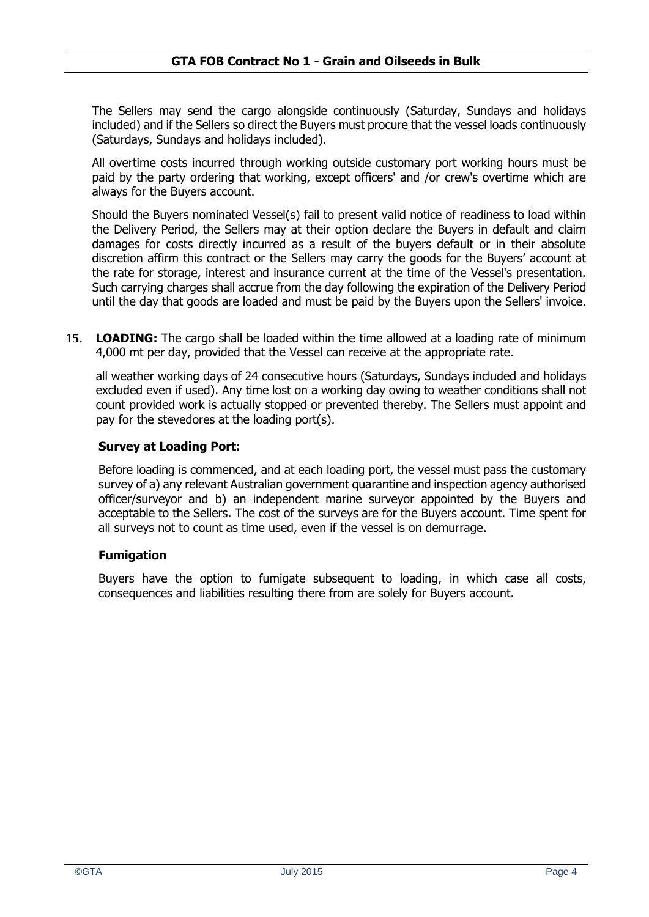The Sellers may send the cargo alongside continuously (Saturday, Sundays and holidays included) and if the Sellers so direct the Buyers must procure that the vessel loads continuously (Saturdays, Sundays and holidays included).

All overtime costs incurred through working outside customary port working hours must be paid by the party ordering that working, except officers' and /or crew's overtime which are always for the Buyers account.

Should the Buyers nominated Vessel(s) fail to present valid notice of readiness to load within the Delivery Period, the Sellers may at their option declare the Buyers in default and claim damages for costs directly incurred as a result of the buyers default or in their absolute discretion affirm this contract or the Sellers may carry the goods for the Buyers' account at the rate for storage, interest and insurance current at the time of the Vessel's presentation. Such carrying charges shall accrue from the day following the expiration of the Delivery Period until the day that goods are loaded and must be paid by the Buyers upon the Sellers' invoice.

**15. LOADING:** The cargo shall be loaded within the time allowed at a loading rate of minimum 4,000 mt per day, provided that the Vessel can receive at the appropriate rate.

all weather working days of 24 consecutive hours (Saturdays, Sundays included and holidays excluded even if used). Any time lost on a working day owing to weather conditions shall not count provided work is actually stopped or prevented thereby. The Sellers must appoint and pay for the stevedores at the loading port(s).

#### **Survey at Loading Port:**

Before loading is commenced, and at each loading port, the vessel must pass the customary survey of a) any relevant Australian government quarantine and inspection agency authorised officer/surveyor and b) an independent marine surveyor appointed by the Buyers and acceptable to the Sellers. The cost of the surveys are for the Buyers account. Time spent for all surveys not to count as time used, even if the vessel is on demurrage.

#### **Fumigation**

Buyers have the option to fumigate subsequent to loading, in which case all costs, consequences and liabilities resulting there from are solely for Buyers account.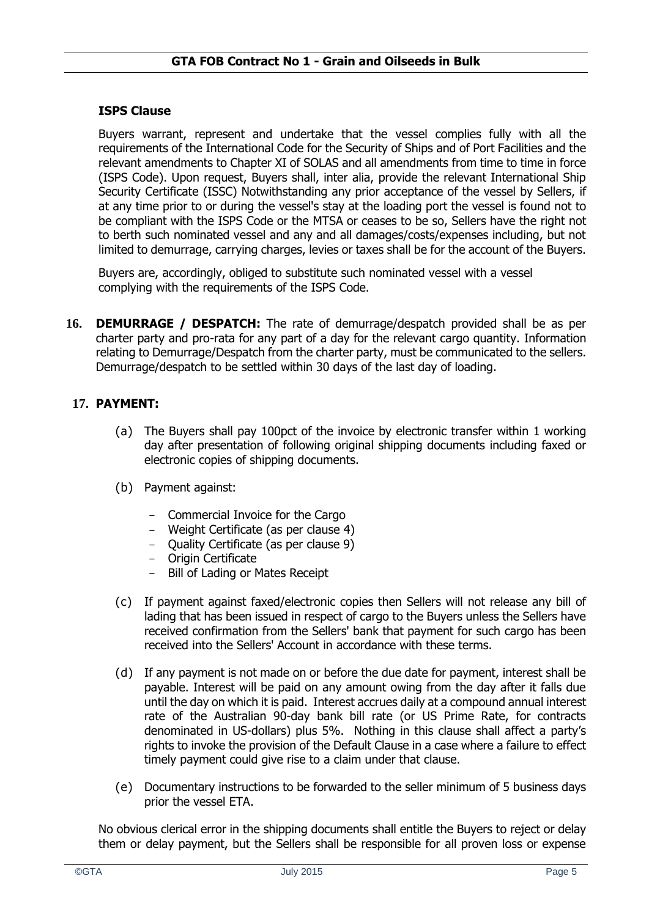## **ISPS Clause**

Buyers warrant, represent and undertake that the vessel complies fully with all the requirements of the International Code for the Security of Ships and of Port Facilities and the relevant amendments to Chapter XI of SOLAS and all amendments from time to time in force (ISPS Code). Upon request, Buyers shall, inter alia, provide the relevant International Ship Security Certificate (ISSC) Notwithstanding any prior acceptance of the vessel by Sellers, if at any time prior to or during the vessel's stay at the loading port the vessel is found not to be compliant with the ISPS Code or the MTSA or ceases to be so, Sellers have the right not to berth such nominated vessel and any and all damages/costs/expenses including, but not limited to demurrage, carrying charges, levies or taxes shall be for the account of the Buyers.

Buyers are, accordingly, obliged to substitute such nominated vessel with a vessel complying with the requirements of the ISPS Code.

**16. DEMURRAGE / DESPATCH:** The rate of demurrage/despatch provided shall be as per charter party and pro-rata for any part of a day for the relevant cargo quantity. Information relating to Demurrage/Despatch from the charter party, must be communicated to the sellers. Demurrage/despatch to be settled within 30 days of the last day of loading.

## **17. PAYMENT:**

- (a) The Buyers shall pay 100pct of the invoice by electronic transfer within 1 working day after presentation of following original shipping documents including faxed or electronic copies of shipping documents.
- (b) Payment against:
	- Commercial Invoice for the Cargo
	- Weight Certificate (as per clause 4)
	- Quality Certificate (as per clause 9)
	- Origin Certificate
	- Bill of Lading or Mates Receipt
- (c) If payment against faxed/electronic copies then Sellers will not release any bill of lading that has been issued in respect of cargo to the Buyers unless the Sellers have received confirmation from the Sellers' bank that payment for such cargo has been received into the Sellers' Account in accordance with these terms.
- (d) If any payment is not made on or before the due date for payment, interest shall be payable. Interest will be paid on any amount owing from the day after it falls due until the day on which it is paid. Interest accrues daily at a compound annual interest rate of the Australian 90-day bank bill rate (or US Prime Rate, for contracts denominated in US-dollars) plus 5%. Nothing in this clause shall affect a party's rights to invoke the provision of the Default Clause in a case where a failure to effect timely payment could give rise to a claim under that clause.
- (e) Documentary instructions to be forwarded to the seller minimum of 5 business days prior the vessel ETA.

No obvious clerical error in the shipping documents shall entitle the Buyers to reject or delay them or delay payment, but the Sellers shall be responsible for all proven loss or expense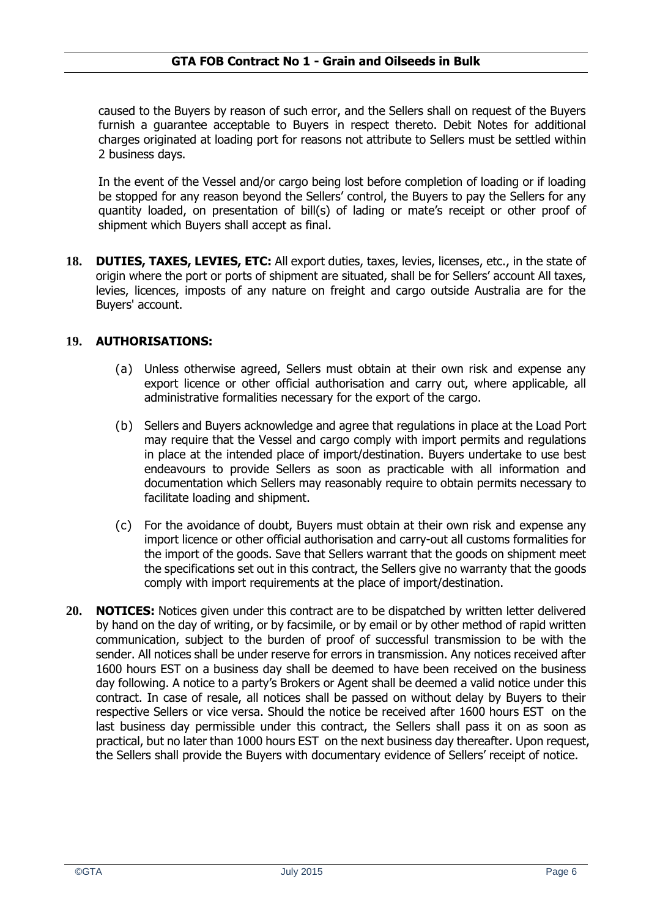caused to the Buyers by reason of such error, and the Sellers shall on request of the Buyers furnish a guarantee acceptable to Buyers in respect thereto. Debit Notes for additional charges originated at loading port for reasons not attribute to Sellers must be settled within 2 business days.

In the event of the Vessel and/or cargo being lost before completion of loading or if loading be stopped for any reason beyond the Sellers' control, the Buyers to pay the Sellers for any quantity loaded, on presentation of bill(s) of lading or mate's receipt or other proof of shipment which Buyers shall accept as final.

**18. DUTIES, TAXES, LEVIES, ETC:** All export duties, taxes, levies, licenses, etc., in the state of origin where the port or ports of shipment are situated, shall be for Sellers' account All taxes, levies, licences, imposts of any nature on freight and cargo outside Australia are for the Buyers' account.

## **19. AUTHORISATIONS:**

- (a) Unless otherwise agreed, Sellers must obtain at their own risk and expense any export licence or other official authorisation and carry out, where applicable, all administrative formalities necessary for the export of the cargo.
- (b) Sellers and Buyers acknowledge and agree that regulations in place at the Load Port may require that the Vessel and cargo comply with import permits and regulations in place at the intended place of import/destination. Buyers undertake to use best endeavours to provide Sellers as soon as practicable with all information and documentation which Sellers may reasonably require to obtain permits necessary to facilitate loading and shipment.
- (c) For the avoidance of doubt, Buyers must obtain at their own risk and expense any import licence or other official authorisation and carry-out all customs formalities for the import of the goods. Save that Sellers warrant that the goods on shipment meet the specifications set out in this contract, the Sellers give no warranty that the goods comply with import requirements at the place of import/destination.
- **20. NOTICES:** Notices given under this contract are to be dispatched by written letter delivered by hand on the day of writing, or by facsimile, or by email or by other method of rapid written communication, subject to the burden of proof of successful transmission to be with the sender. All notices shall be under reserve for errors in transmission. Any notices received after 1600 hours EST on a business day shall be deemed to have been received on the business day following. A notice to a party's Brokers or Agent shall be deemed a valid notice under this contract. In case of resale, all notices shall be passed on without delay by Buyers to their respective Sellers or vice versa. Should the notice be received after 1600 hours EST on the last business day permissible under this contract, the Sellers shall pass it on as soon as practical, but no later than 1000 hours EST on the next business day thereafter. Upon request, the Sellers shall provide the Buyers with documentary evidence of Sellers' receipt of notice.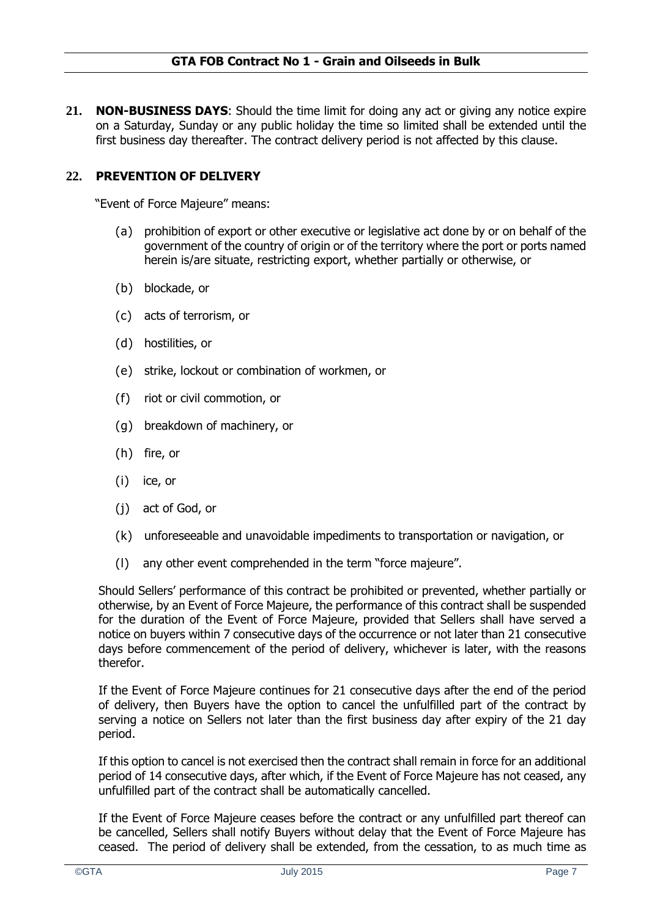**21. NON-BUSINESS DAYS**: Should the time limit for doing any act or giving any notice expire on a Saturday, Sunday or any public holiday the time so limited shall be extended until the first business day thereafter. The contract delivery period is not affected by this clause.

#### **22. PREVENTION OF DELIVERY**

"Event of Force Majeure" means:

- (a) prohibition of export or other executive or legislative act done by or on behalf of the government of the country of origin or of the territory where the port or ports named herein is/are situate, restricting export, whether partially or otherwise, or
- (b) blockade, or
- (c) acts of terrorism, or
- (d) hostilities, or
- (e) strike, lockout or combination of workmen, or
- (f) riot or civil commotion, or
- (g) breakdown of machinery, or
- (h) fire, or
- (i) ice, or
- (j) act of God, or
- (k) unforeseeable and unavoidable impediments to transportation or navigation, or
- (l) any other event comprehended in the term "force majeure".

Should Sellers' performance of this contract be prohibited or prevented, whether partially or otherwise, by an Event of Force Majeure, the performance of this contract shall be suspended for the duration of the Event of Force Majeure, provided that Sellers shall have served a notice on buyers within 7 consecutive days of the occurrence or not later than 21 consecutive days before commencement of the period of delivery, whichever is later, with the reasons therefor.

If the Event of Force Majeure continues for 21 consecutive days after the end of the period of delivery, then Buyers have the option to cancel the unfulfilled part of the contract by serving a notice on Sellers not later than the first business day after expiry of the 21 day period.

If this option to cancel is not exercised then the contract shall remain in force for an additional period of 14 consecutive days, after which, if the Event of Force Majeure has not ceased, any unfulfilled part of the contract shall be automatically cancelled.

If the Event of Force Majeure ceases before the contract or any unfulfilled part thereof can be cancelled, Sellers shall notify Buyers without delay that the Event of Force Majeure has ceased. The period of delivery shall be extended, from the cessation, to as much time as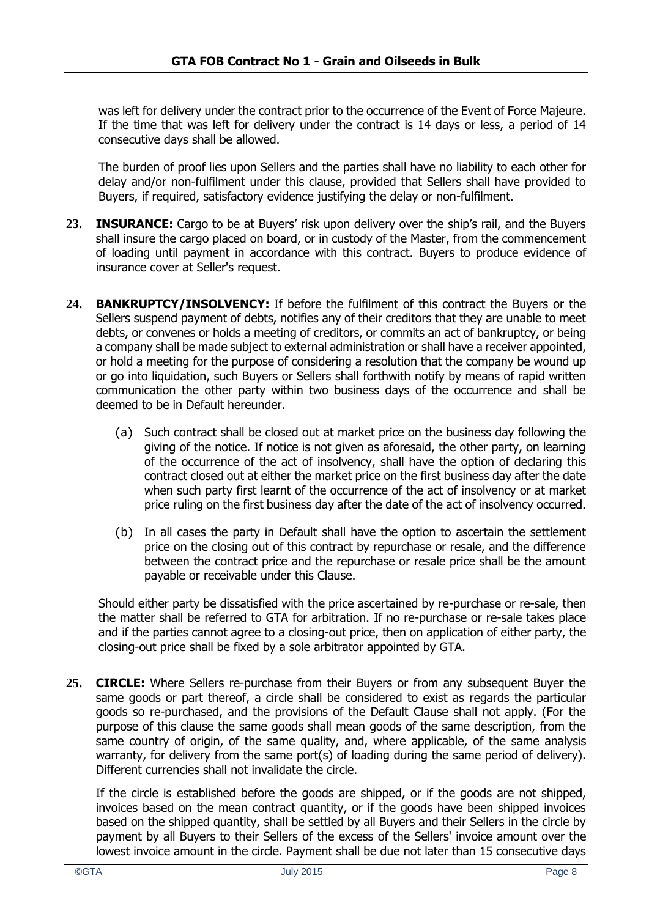was left for delivery under the contract prior to the occurrence of the Event of Force Majeure. If the time that was left for delivery under the contract is 14 days or less, a period of 14 consecutive days shall be allowed.

The burden of proof lies upon Sellers and the parties shall have no liability to each other for delay and/or non-fulfilment under this clause, provided that Sellers shall have provided to Buyers, if required, satisfactory evidence justifying the delay or non-fulfilment.

- **23. INSURANCE:** Cargo to be at Buyers' risk upon delivery over the ship's rail, and the Buyers shall insure the cargo placed on board, or in custody of the Master, from the commencement of loading until payment in accordance with this contract. Buyers to produce evidence of insurance cover at Seller's request.
- **24. BANKRUPTCY/INSOLVENCY:** If before the fulfilment of this contract the Buyers or the Sellers suspend payment of debts, notifies any of their creditors that they are unable to meet debts, or convenes or holds a meeting of creditors, or commits an act of bankruptcy, or being a company shall be made subject to external administration or shall have a receiver appointed, or hold a meeting for the purpose of considering a resolution that the company be wound up or go into liquidation, such Buyers or Sellers shall forthwith notify by means of rapid written communication the other party within two business days of the occurrence and shall be deemed to be in Default hereunder.
	- (a) Such contract shall be closed out at market price on the business day following the giving of the notice. If notice is not given as aforesaid, the other party, on learning of the occurrence of the act of insolvency, shall have the option of declaring this contract closed out at either the market price on the first business day after the date when such party first learnt of the occurrence of the act of insolvency or at market price ruling on the first business day after the date of the act of insolvency occurred.
	- (b) In all cases the party in Default shall have the option to ascertain the settlement price on the closing out of this contract by repurchase or resale, and the difference between the contract price and the repurchase or resale price shall be the amount payable or receivable under this Clause.

Should either party be dissatisfied with the price ascertained by re-purchase or re-sale, then the matter shall be referred to GTA for arbitration. If no re-purchase or re-sale takes place and if the parties cannot agree to a closing-out price, then on application of either party, the closing-out price shall be fixed by a sole arbitrator appointed by GTA.

**25. CIRCLE:** Where Sellers re-purchase from their Buyers or from any subsequent Buyer the same goods or part thereof, a circle shall be considered to exist as regards the particular goods so re-purchased, and the provisions of the Default Clause shall not apply. (For the purpose of this clause the same goods shall mean goods of the same description, from the same country of origin, of the same quality, and, where applicable, of the same analysis warranty, for delivery from the same port(s) of loading during the same period of delivery). Different currencies shall not invalidate the circle.

If the circle is established before the goods are shipped, or if the goods are not shipped, invoices based on the mean contract quantity, or if the goods have been shipped invoices based on the shipped quantity, shall be settled by all Buyers and their Sellers in the circle by payment by all Buyers to their Sellers of the excess of the Sellers' invoice amount over the lowest invoice amount in the circle. Payment shall be due not later than 15 consecutive days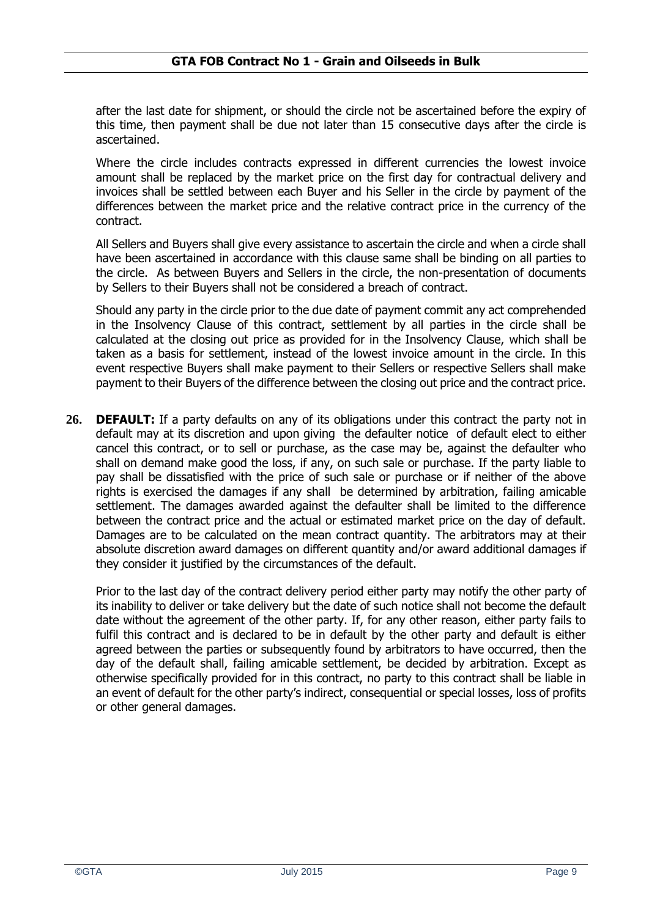after the last date for shipment, or should the circle not be ascertained before the expiry of this time, then payment shall be due not later than 15 consecutive days after the circle is ascertained.

Where the circle includes contracts expressed in different currencies the lowest invoice amount shall be replaced by the market price on the first day for contractual delivery and invoices shall be settled between each Buyer and his Seller in the circle by payment of the differences between the market price and the relative contract price in the currency of the contract.

All Sellers and Buyers shall give every assistance to ascertain the circle and when a circle shall have been ascertained in accordance with this clause same shall be binding on all parties to the circle. As between Buyers and Sellers in the circle, the non-presentation of documents by Sellers to their Buyers shall not be considered a breach of contract.

Should any party in the circle prior to the due date of payment commit any act comprehended in the Insolvency Clause of this contract, settlement by all parties in the circle shall be calculated at the closing out price as provided for in the Insolvency Clause, which shall be taken as a basis for settlement, instead of the lowest invoice amount in the circle. In this event respective Buyers shall make payment to their Sellers or respective Sellers shall make payment to their Buyers of the difference between the closing out price and the contract price.

**26. DEFAULT:** If a party defaults on any of its obligations under this contract the party not in default may at its discretion and upon giving the defaulter notice of default elect to either cancel this contract, or to sell or purchase, as the case may be, against the defaulter who shall on demand make good the loss, if any, on such sale or purchase. If the party liable to pay shall be dissatisfied with the price of such sale or purchase or if neither of the above rights is exercised the damages if any shall be determined by arbitration, failing amicable settlement. The damages awarded against the defaulter shall be limited to the difference between the contract price and the actual or estimated market price on the day of default. Damages are to be calculated on the mean contract quantity. The arbitrators may at their absolute discretion award damages on different quantity and/or award additional damages if they consider it justified by the circumstances of the default.

Prior to the last day of the contract delivery period either party may notify the other party of its inability to deliver or take delivery but the date of such notice shall not become the default date without the agreement of the other party. If, for any other reason, either party fails to fulfil this contract and is declared to be in default by the other party and default is either agreed between the parties or subsequently found by arbitrators to have occurred, then the day of the default shall, failing amicable settlement, be decided by arbitration. Except as otherwise specifically provided for in this contract, no party to this contract shall be liable in an event of default for the other party's indirect, consequential or special losses, loss of profits or other general damages.